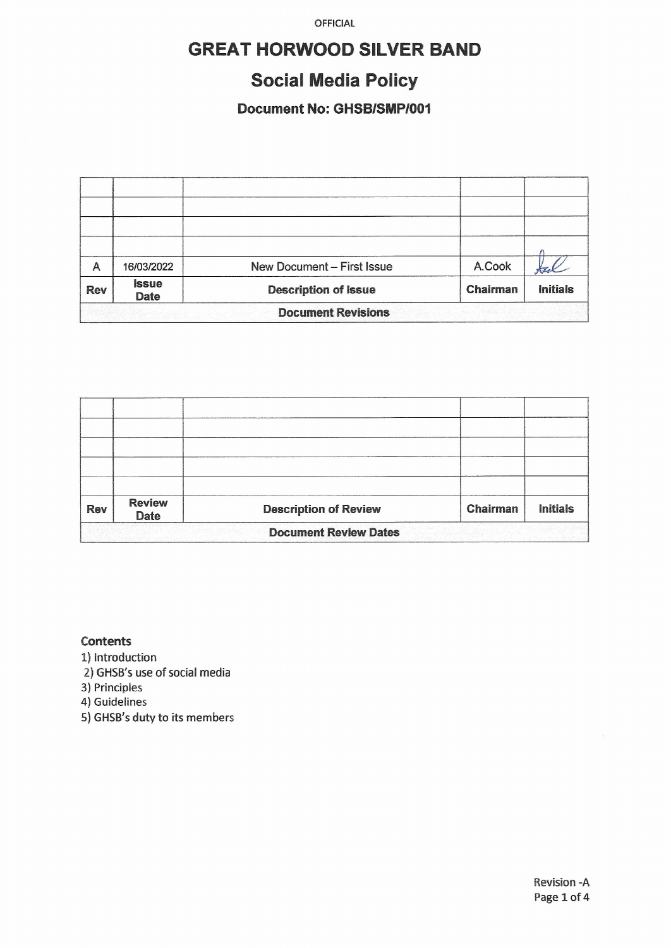OFFICIAL

# **GREAT HORWOOD SILVER BAND**

# **Social Media Policy**

### Document No: GHSB/SMP/001

| A                         | 16/03/2022                  | New Document - First Issue  | A.Cook   |                 |  |  |
|---------------------------|-----------------------------|-----------------------------|----------|-----------------|--|--|
| <b>Rev</b>                | <b>Issue</b><br><b>Date</b> | <b>Description of Issue</b> | Chairman | <b>Initials</b> |  |  |
| <b>Document Revisions</b> |                             |                             |          |                 |  |  |

| <b>Rev</b>                   | <b>Review</b><br><b>Date</b> | <b>Description of Review</b> | Chairman | <b>Initials</b> |  |  |
|------------------------------|------------------------------|------------------------------|----------|-----------------|--|--|
| <b>Document Review Dates</b> |                              |                              |          |                 |  |  |

#### **Contents**

1) Introduction

2) GHSB's use of social media

3) Principles

4) Guidelines

5) GHSB's duty to its members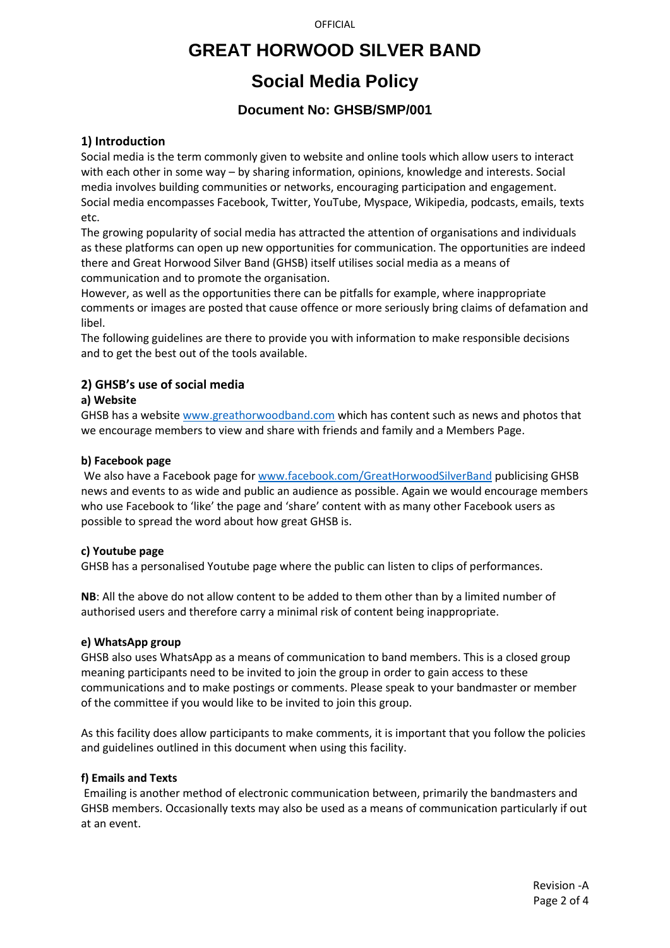**OFFICIAL** 

## **GREAT HORWOOD SILVER BAND**

# **Social Media Policy**

### **Document No: GHSB/SMP/001**

#### **1) Introduction**

Social media is the term commonly given to website and online tools which allow users to interact with each other in some way – by sharing information, opinions, knowledge and interests. Social media involves building communities or networks, encouraging participation and engagement. Social media encompasses Facebook, Twitter, YouTube, Myspace, Wikipedia, podcasts, emails, texts etc.

The growing popularity of social media has attracted the attention of organisations and individuals as these platforms can open up new opportunities for communication. The opportunities are indeed there and Great Horwood Silver Band (GHSB) itself utilises social media as a means of communication and to promote the organisation.

However, as well as the opportunities there can be pitfalls for example, where inappropriate comments or images are posted that cause offence or more seriously bring claims of defamation and libel.

The following guidelines are there to provide you with information to make responsible decisions and to get the best out of the tools available.

#### **2) GHSB's use of social media**

#### **a) Website**

GHSB has a websit[e www.greathorwoodband.com](http://www.greathorwoodband.com/) which has content such as news and photos that we encourage members to view and share with friends and family and a Members Page.

#### **b) Facebook page**

We also have a Facebook page fo[r www.facebook.com/GreatHorwoodSilverBand](http://www.facebook.com/GreatHorwoodSilverBand) publicising GHSB news and events to as wide and public an audience as possible. Again we would encourage members who use Facebook to 'like' the page and 'share' content with as many other Facebook users as possible to spread the word about how great GHSB is.

#### **c) Youtube page**

GHSB has a personalised Youtube page where the public can listen to clips of performances.

**NB**: All the above do not allow content to be added to them other than by a limited number of authorised users and therefore carry a minimal risk of content being inappropriate.

#### **e) WhatsApp group**

GHSB also uses WhatsApp as a means of communication to band members. This is a closed group meaning participants need to be invited to join the group in order to gain access to these communications and to make postings or comments. Please speak to your bandmaster or member of the committee if you would like to be invited to join this group.

As this facility does allow participants to make comments, it is important that you follow the policies and guidelines outlined in this document when using this facility.

#### **f) Emails and Texts**

Emailing is another method of electronic communication between, primarily the bandmasters and GHSB members. Occasionally texts may also be used as a means of communication particularly if out at an event.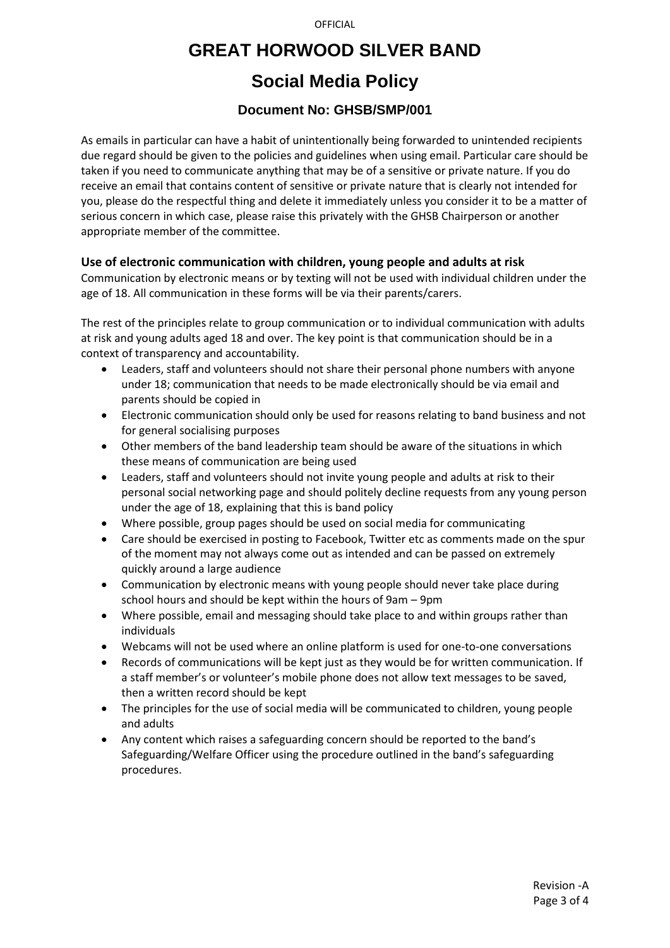#### **OFFICIAL**

### **GREAT HORWOOD SILVER BAND**

## **Social Media Policy**

### **Document No: GHSB/SMP/001**

As emails in particular can have a habit of unintentionally being forwarded to unintended recipients due regard should be given to the policies and guidelines when using email. Particular care should be taken if you need to communicate anything that may be of a sensitive or private nature. If you do receive an email that contains content of sensitive or private nature that is clearly not intended for you, please do the respectful thing and delete it immediately unless you consider it to be a matter of serious concern in which case, please raise this privately with the GHSB Chairperson or another appropriate member of the committee.

#### **Use of electronic communication with children, young people and adults at risk**

Communication by electronic means or by texting will not be used with individual children under the age of 18. All communication in these forms will be via their parents/carers.

The rest of the principles relate to group communication or to individual communication with adults at risk and young adults aged 18 and over. The key point is that communication should be in a context of transparency and accountability.

- Leaders, staff and volunteers should not share their personal phone numbers with anyone under 18; communication that needs to be made electronically should be via email and parents should be copied in
- Electronic communication should only be used for reasons relating to band business and not for general socialising purposes
- Other members of the band leadership team should be aware of the situations in which these means of communication are being used
- Leaders, staff and volunteers should not invite young people and adults at risk to their personal social networking page and should politely decline requests from any young person under the age of 18, explaining that this is band policy
- Where possible, group pages should be used on social media for communicating
- Care should be exercised in posting to Facebook, Twitter etc as comments made on the spur of the moment may not always come out as intended and can be passed on extremely quickly around a large audience
- Communication by electronic means with young people should never take place during school hours and should be kept within the hours of 9am – 9pm
- Where possible, email and messaging should take place to and within groups rather than individuals
- Webcams will not be used where an online platform is used for one-to-one conversations
- Records of communications will be kept just as they would be for written communication. If a staff member's or volunteer's mobile phone does not allow text messages to be saved, then a written record should be kept
- The principles for the use of social media will be communicated to children, young people and adults
- Any content which raises a safeguarding concern should be reported to the band's Safeguarding/Welfare Officer using the procedure outlined in the band's safeguarding procedures.